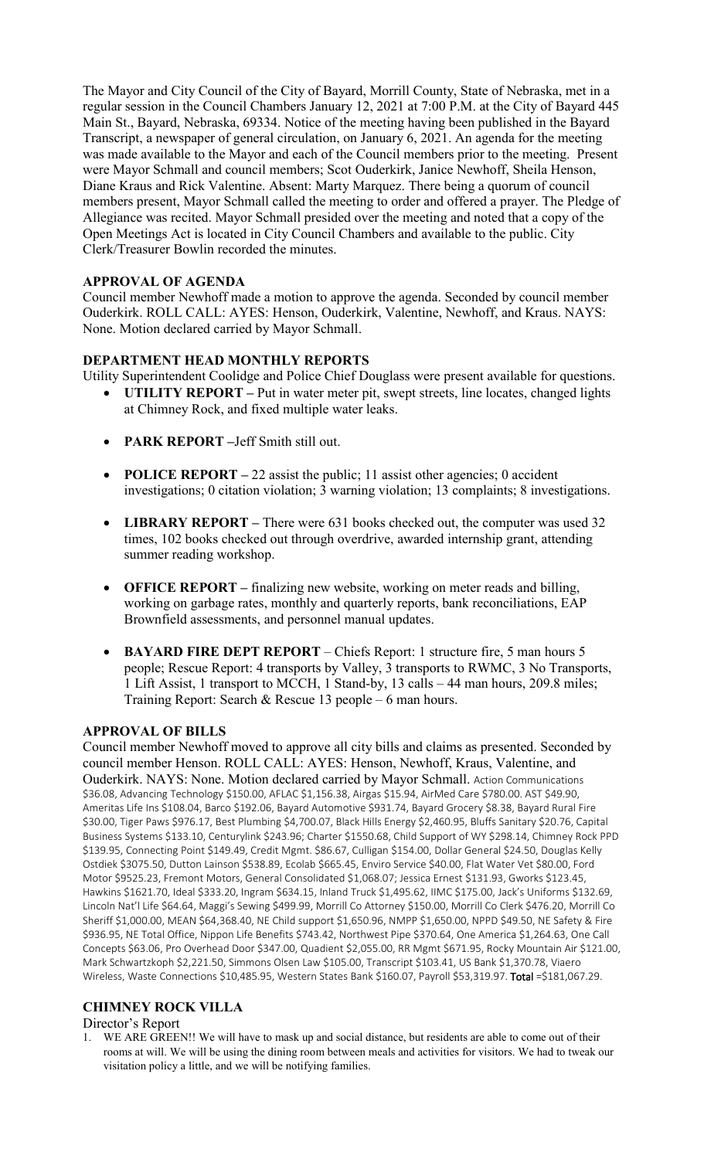The Mayor and City Council of the City of Bayard, Morrill County, State of Nebraska, met in a regular session in the Council Chambers January 12, 2021 at 7:00 P.M. at the City of Bayard 445 Main St., Bayard, Nebraska, 69334. Notice of the meeting having been published in the Bayard Transcript, a newspaper of general circulation, on January 6, 2021. An agenda for the meeting was made available to the Mayor and each of the Council members prior to the meeting. Present were Mayor Schmall and council members; Scot Ouderkirk, Janice Newhoff, Sheila Henson, Diane Kraus and Rick Valentine. Absent: Marty Marquez. There being a quorum of council members present, Mayor Schmall called the meeting to order and offered a prayer. The Pledge of Allegiance was recited. Mayor Schmall presided over the meeting and noted that a copy of the Open Meetings Act is located in City Council Chambers and available to the public. City Clerk/Treasurer Bowlin recorded the minutes.

# **APPROVAL OF AGENDA**

Council member Newhoff made a motion to approve the agenda. Seconded by council member Ouderkirk. ROLL CALL: AYES: Henson, Ouderkirk, Valentine, Newhoff, and Kraus. NAYS: None. Motion declared carried by Mayor Schmall.

## **DEPARTMENT HEAD MONTHLY REPORTS**

Utility Superintendent Coolidge and Police Chief Douglass were present available for questions.

- **UTILITY REPORT** Put in water meter pit, swept streets, line locates, changed lights at Chimney Rock, and fixed multiple water leaks.
- **PARK REPORT –**Jeff Smith still out.
- **POLICE REPORT** 22 assist the public; 11 assist other agencies; 0 accident investigations; 0 citation violation; 3 warning violation; 13 complaints; 8 investigations.
- **LIBRARY REPORT** There were 631 books checked out, the computer was used 32 times, 102 books checked out through overdrive, awarded internship grant, attending summer reading workshop.
- **OFFICE REPORT** finalizing new website, working on meter reads and billing, working on garbage rates, monthly and quarterly reports, bank reconciliations, EAP Brownfield assessments, and personnel manual updates.
- **BAYARD FIRE DEPT REPORT** Chiefs Report: 1 structure fire, 5 man hours 5 people; Rescue Report: 4 transports by Valley, 3 transports to RWMC, 3 No Transports, 1 Lift Assist, 1 transport to MCCH, 1 Stand-by, 13 calls – 44 man hours, 209.8 miles; Training Report: Search & Rescue 13 people – 6 man hours.

### **APPROVAL OF BILLS**

Council member Newhoff moved to approve all city bills and claims as presented. Seconded by council member Henson. ROLL CALL: AYES: Henson, Newhoff, Kraus, Valentine, and Ouderkirk. NAYS: None. Motion declared carried by Mayor Schmall. Action Communications \$36.08, Advancing Technology \$150.00, AFLAC \$1,156.38, Airgas \$15.94, AirMed Care \$780.00. AST \$49.90, Ameritas Life Ins \$108.04, Barco \$192.06, Bayard Automotive \$931.74, Bayard Grocery \$8.38, Bayard Rural Fire \$30.00, Tiger Paws \$976.17, Best Plumbing \$4,700.07, Black Hills Energy \$2,460.95, Bluffs Sanitary \$20.76, Capital Business Systems \$133.10, Centurylink \$243.96; Charter \$1550.68, Child Support of WY \$298.14, Chimney Rock PPD \$139.95, Connecting Point \$149.49, Credit Mgmt. \$86.67, Culligan \$154.00, Dollar General \$24.50, Douglas Kelly Ostdiek \$3075.50, Dutton Lainson \$538.89, Ecolab \$665.45, Enviro Service \$40.00, Flat Water Vet \$80.00, Ford Motor \$9525.23, Fremont Motors, General Consolidated \$1,068.07; Jessica Ernest \$131.93, Gworks \$123.45, Hawkins \$1621.70, Ideal \$333.20, Ingram \$634.15, Inland Truck \$1,495.62, IIMC \$175.00, Jack's Uniforms \$132.69, Lincoln Nat'l Life \$64.64, Maggi's Sewing \$499.99, Morrill Co Attorney \$150.00, Morrill Co Clerk \$476.20, Morrill Co Sheriff \$1,000.00, MEAN \$64,368.40, NE Child support \$1,650.96, NMPP \$1,650.00, NPPD \$49.50, NE Safety & Fire \$936.95, NE Total Office, Nippon Life Benefits \$743.42, Northwest Pipe \$370.64, One America \$1,264.63, One Call Concepts \$63.06, Pro Overhead Door \$347.00, Quadient \$2,055.00, RR Mgmt \$671.95, Rocky Mountain Air \$121.00, Mark Schwartzkoph \$2,221.50, Simmons Olsen Law \$105.00, Transcript \$103.41, US Bank \$1,370.78, Viaero Wireless, Waste Connections \$10,485.95, Western States Bank \$160.07, Payroll \$53,319.97. Total =\$181,067.29.

# **CHIMNEY ROCK VILLA**

#### Director's Report

1. WE ARE GREEN!! We will have to mask up and social distance, but residents are able to come out of their rooms at will. We will be using the dining room between meals and activities for visitors. We had to tweak our visitation policy a little, and we will be notifying families.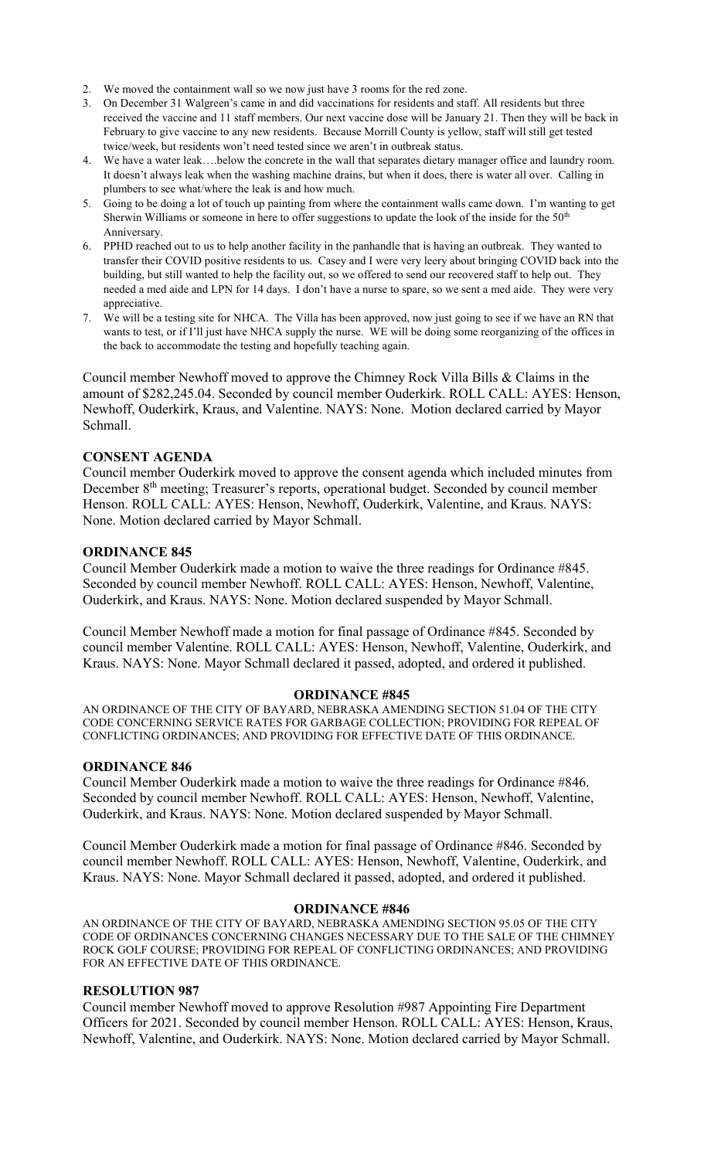- 2. We moved the containment wall so we now just have 3 rooms for the red zone.
- 3. On December 31 Walgreen's came in and did vaccinations for residents and staff. All residents but three received the vaccine and 11 staff members. Our next vaccine dose will be January 21. Then they will be back in February to give vaccine to any new residents. Because Morrill County is yellow, staff will still get tested twice/week, but residents won't need tested since we aren't in outbreak status.
- 4. We have a water leak….below the concrete in the wall that separates dietary manager office and laundry room. It doesn't always leak when the washing machine drains, but when it does, there is water all over. Calling in plumbers to see what/where the leak is and how much.
- 5. Going to be doing a lot of touch up painting from where the containment walls came down. I'm wanting to get Sherwin Williams or someone in here to offer suggestions to update the look of the inside for the  $50<sup>th</sup>$ Anniversary.
- 6. PPHD reached out to us to help another facility in the panhandle that is having an outbreak. They wanted to transfer their COVID positive residents to us. Casey and I were very leery about bringing COVID back into the building, but still wanted to help the facility out, so we offered to send our recovered staff to help out. They needed a med aide and LPN for 14 days. I don't have a nurse to spare, so we sent a med aide. They were very appreciative.
- 7. We will be a testing site for NHCA. The Villa has been approved, now just going to see if we have an RN that wants to test, or if I'll just have NHCA supply the nurse. WE will be doing some reorganizing of the offices in the back to accommodate the testing and hopefully teaching again.

Council member Newhoff moved to approve the Chimney Rock Villa Bills & Claims in the amount of \$282,245.04. Seconded by council member Ouderkirk. ROLL CALL: AYES: Henson, Newhoff, Ouderkirk, Kraus, and Valentine. NAYS: None. Motion declared carried by Mayor Schmall.

### **CONSENT AGENDA**

Council member Ouderkirk moved to approve the consent agenda which included minutes from December 8<sup>th</sup> meeting; Treasurer's reports, operational budget. Seconded by council member Henson. ROLL CALL: AYES: Henson, Newhoff, Ouderkirk, Valentine, and Kraus. NAYS: None. Motion declared carried by Mayor Schmall.

#### **ORDINANCE 845**

Council Member Ouderkirk made a motion to waive the three readings for Ordinance #845. Seconded by council member Newhoff. ROLL CALL: AYES: Henson, Newhoff, Valentine, Ouderkirk, and Kraus. NAYS: None. Motion declared suspended by Mayor Schmall.

Council Member Newhoff made a motion for final passage of Ordinance #845. Seconded by council member Valentine. ROLL CALL: AYES: Henson, Newhoff, Valentine, Ouderkirk, and Kraus. NAYS: None. Mayor Schmall declared it passed, adopted, and ordered it published.

#### **ORDINANCE #845**

AN ORDINANCE OF THE CITY OF BAYARD, NEBRASKA AMENDING SECTION 51.04 OF THE CITY CODE CONCERNING SERVICE RATES FOR GARBAGE COLLECTION; PROVIDING FOR REPEAL OF CONFLICTING ORDINANCES; AND PROVIDING FOR EFFECTIVE DATE OF THIS ORDINANCE.

#### **ORDINANCE 846**

Council Member Ouderkirk made a motion to waive the three readings for Ordinance #846. Seconded by council member Newhoff. ROLL CALL: AYES: Henson, Newhoff, Valentine, Ouderkirk, and Kraus. NAYS: None. Motion declared suspended by Mayor Schmall.

Council Member Ouderkirk made a motion for final passage of Ordinance #846. Seconded by council member Newhoff. ROLL CALL: AYES: Henson, Newhoff, Valentine, Ouderkirk, and Kraus. NAYS: None. Mayor Schmall declared it passed, adopted, and ordered it published.

#### **ORDINANCE #846**

AN ORDINANCE OF THE CITY OF BAYARD, NEBRASKA AMENDING SECTION 95.05 OF THE CITY CODE OF ORDINANCES CONCERNING CHANGES NECESSARY DUE TO THE SALE OF THE CHIMNEY ROCK GOLF COURSE; PROVIDING FOR REPEAL OF CONFLICTING ORDINANCES; AND PROVIDING FOR AN EFFECTIVE DATE OF THIS ORDINANCE.

### **RESOLUTION 987**

Council member Newhoff moved to approve Resolution #987 Appointing Fire Department Officers for 2021. Seconded by council member Henson. ROLL CALL: AYES: Henson, Kraus, Newhoff, Valentine, and Ouderkirk. NAYS: None. Motion declared carried by Mayor Schmall.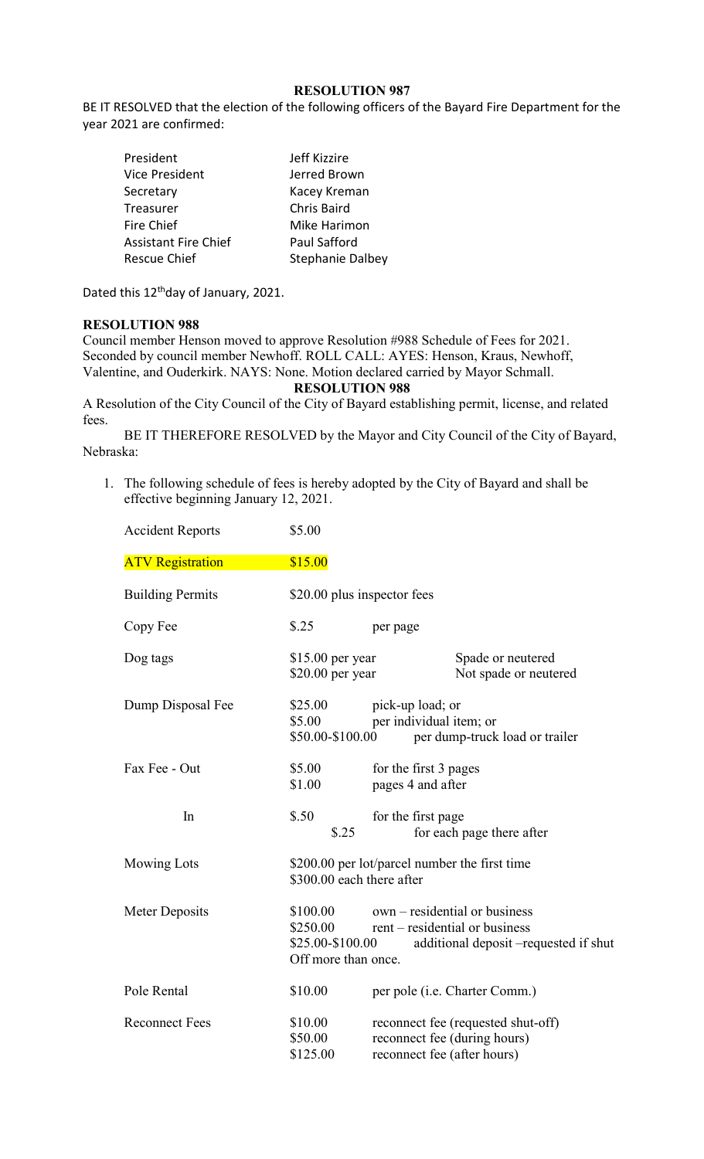### **RESOLUTION 987**

BE IT RESOLVED that the election of the following officers of the Bayard Fire Department for the year 2021 are confirmed:

| President                   | Jeff Kizzire            |
|-----------------------------|-------------------------|
| Vice President              | Jerred Brown            |
| Secretary                   | Kacey Kreman            |
| Treasurer                   | <b>Chris Baird</b>      |
| Fire Chief                  | Mike Harimon            |
| <b>Assistant Fire Chief</b> | <b>Paul Safford</b>     |
| Rescue Chief                | <b>Stephanie Dalbey</b> |

Dated this 12<sup>th</sup>day of January, 2021.

#### **RESOLUTION 988**

Council member Henson moved to approve Resolution #988 Schedule of Fees for 2021. Seconded by council member Newhoff. ROLL CALL: AYES: Henson, Kraus, Newhoff, Valentine, and Ouderkirk. NAYS: None. Motion declared carried by Mayor Schmall.

**RESOLUTION 988**

A Resolution of the City Council of the City of Bayard establishing permit, license, and related fees.

BE IT THEREFORE RESOLVED by the Mayor and City Council of the City of Bayard, Nebraska:

1. The following schedule of fees is hereby adopted by the City of Bayard and shall be effective beginning January 12, 2021.

| <b>Accident Reports</b> | \$5.00                                                                     |                                             |                                                                                                          |
|-------------------------|----------------------------------------------------------------------------|---------------------------------------------|----------------------------------------------------------------------------------------------------------|
| <b>ATV Registration</b> | \$15.00                                                                    |                                             |                                                                                                          |
| <b>Building Permits</b> | \$20.00 plus inspector fees                                                |                                             |                                                                                                          |
| Copy Fee                | \$.25                                                                      | per page                                    |                                                                                                          |
| Dog tags                | $$15.00$ per year<br>$$20.00$ per year                                     |                                             | Spade or neutered<br>Not spade or neutered                                                               |
| Dump Disposal Fee       | \$25.00<br>\$5.00<br>\$50.00-\$100.00                                      | pick-up load; or<br>per individual item; or | per dump-truck load or trailer                                                                           |
| Fax Fee - Out           | \$5.00<br>\$1.00                                                           | for the first 3 pages<br>pages 4 and after  |                                                                                                          |
| In                      | \$.50<br>\$.25                                                             | for the first page                          | for each page there after                                                                                |
| <b>Mowing Lots</b>      | \$200.00 per lot/parcel number the first time<br>\$300.00 each there after |                                             |                                                                                                          |
| Meter Deposits          | \$100.00<br>\$250.00<br>\$25.00-\$100.00<br>Off more than once.            |                                             | own – residential or business<br>rent – residential or business<br>additional deposit -requested if shut |
| Pole Rental             | \$10.00                                                                    |                                             | per pole ( <i>i.e.</i> Charter Comm.)                                                                    |
| <b>Reconnect Fees</b>   | \$10.00<br>\$50.00<br>\$125.00                                             | reconnect fee (after hours)                 | reconnect fee (requested shut-off)<br>reconnect fee (during hours)                                       |